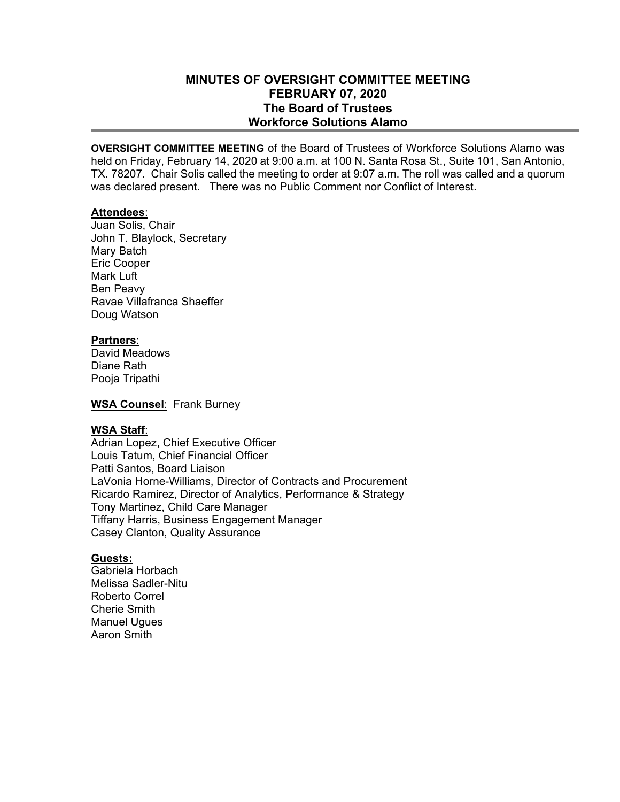# **MINUTES OF OVERSIGHT COMMITTEE MEETING FEBRUARY 07, 2020 The Board of Trustees Workforce Solutions Alamo**

**OVERSIGHT COMMITTEE MEETING** of the Board of Trustees of Workforce Solutions Alamo was held on Friday, February 14, 2020 at 9:00 a.m. at 100 N. Santa Rosa St., Suite 101, San Antonio, TX. 78207. Chair Solis called the meeting to order at 9:07 a.m. The roll was called and a quorum was declared present. There was no Public Comment nor Conflict of Interest.

## **Attendees**:

Juan Solis, Chair John T. Blaylock, Secretary Mary Batch Eric Cooper Mark Luft Ben Peavy Ravae Villafranca Shaeffer Doug Watson

## **Partners**:

David Meadows Diane Rath Pooja Tripathi

**WSA Counsel**: Frank Burney

## **WSA Staff**:

Adrian Lopez, Chief Executive Officer Louis Tatum, Chief Financial Officer Patti Santos, Board Liaison LaVonia Horne-Williams, Director of Contracts and Procurement Ricardo Ramirez, Director of Analytics, Performance & Strategy Tony Martinez, Child Care Manager Tiffany Harris, Business Engagement Manager Casey Clanton, Quality Assurance

### **Guests:**

Gabriela Horbach Melissa Sadler-Nitu Roberto Correl Cherie Smith Manuel Ugues Aaron Smith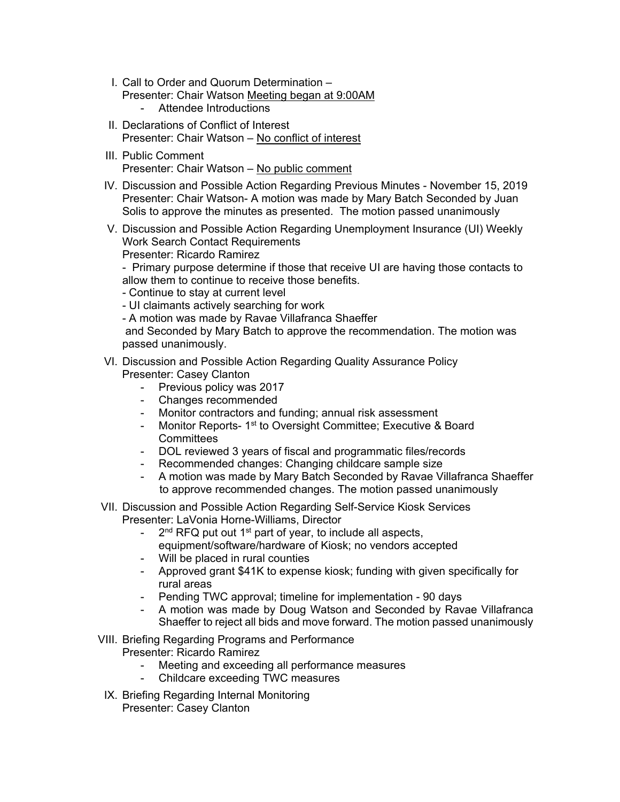- I. Call to Order and Quorum Determination
	- Presenter: Chair Watson Meeting began at 9:00AM
		- Attendee Introductions
- II. Declarations of Conflict of Interest Presenter: Chair Watson – No conflict of interest
- III. Public Comment Presenter: Chair Watson – No public comment
- IV. Discussion and Possible Action Regarding Previous Minutes November 15, 2019 Presenter: Chair Watson- A motion was made by Mary Batch Seconded by Juan Solis to approve the minutes as presented. The motion passed unanimously
- V. Discussion and Possible Action Regarding Unemployment Insurance (UI) Weekly Work Search Contact Requirements Presenter: Ricardo Ramirez

- Primary purpose determine if those that receive UI are having those contacts to allow them to continue to receive those benefits.

- Continue to stay at current level
- UI claimants actively searching for work
- A motion was made by Ravae Villafranca Shaeffer

 and Seconded by Mary Batch to approve the recommendation. The motion was passed unanimously.

- VI. Discussion and Possible Action Regarding Quality Assurance Policy Presenter: Casey Clanton
	- Previous policy was 2017
	- Changes recommended
	- Monitor contractors and funding; annual risk assessment
	- Monitor Reports- 1<sup>st</sup> to Oversight Committee; Executive & Board **Committees**
	- DOL reviewed 3 years of fiscal and programmatic files/records
	- Recommended changes: Changing childcare sample size
	- A motion was made by Mary Batch Seconded by Ravae Villafranca Shaeffer to approve recommended changes. The motion passed unanimously
- VII. Discussion and Possible Action Regarding Self-Service Kiosk Services Presenter: LaVonia Horne-Williams, Director
	- $2<sup>nd</sup>$  RFQ put out 1<sup>st</sup> part of year, to include all aspects, equipment/software/hardware of Kiosk; no vendors accepted
	- Will be placed in rural counties
	- Approved grant \$41K to expense kiosk; funding with given specifically for rural areas
	- Pending TWC approval; timeline for implementation 90 days
	- A motion was made by Doug Watson and Seconded by Ravae Villafranca Shaeffer to reject all bids and move forward. The motion passed unanimously
- VIII. Briefing Regarding Programs and Performance Presenter: Ricardo Ramirez
	- Meeting and exceeding all performance measures
	- Childcare exceeding TWC measures
	- IX. Briefing Regarding Internal Monitoring Presenter: Casey Clanton